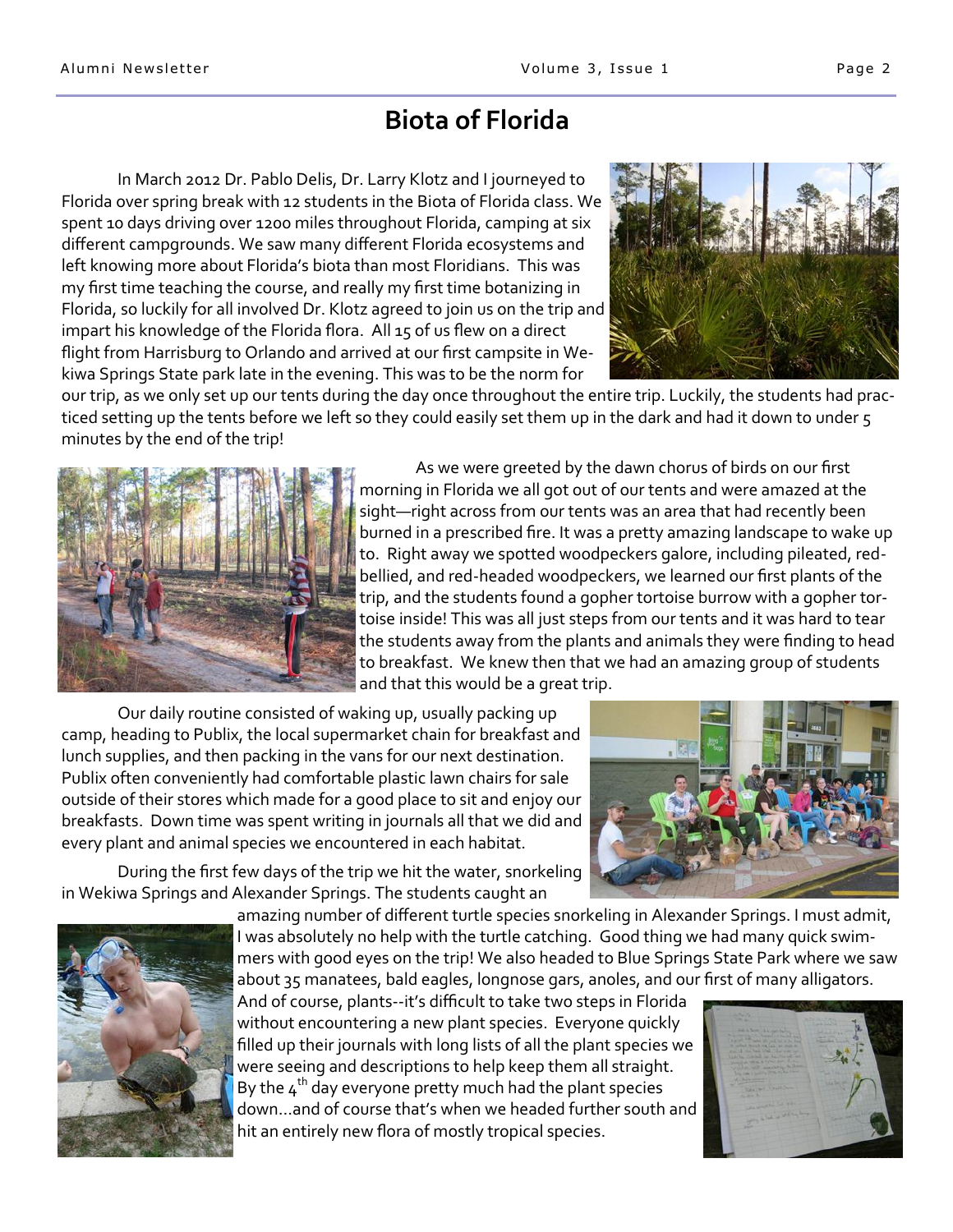## **Biota of Florida**

In March 2012 Dr. Pablo Delis, Dr. Larry Klotz and I journeyed to Florida over spring break with 12 students in the Biota of Florida class. We spent 10 days driving over 1200 miles throughout Florida, camping at six different campgrounds. We saw many different Florida ecosystems and left knowing more about Florida's biota than most Floridians. This was my first time teaching the course, and really my first time botanizing in Florida, so luckily for all involved Dr. Klotz agreed to join us on the trip and impart his knowledge of the Florida flora. All 15 of us flew on a direct flight from Harrisburg to Orlando and arrived at our first campsite in Wekiwa Springs State park late in the evening. This was to be the norm for



our trip, as we only set up our tents during the day once throughout the entire trip. Luckily, the students had practiced setting up the tents before we left so they could easily set them up in the dark and had it down to under 5 minutes by the end of the trip!



As we were greeted by the dawn chorus of birds on our first morning in Florida we all got out of our tents and were amazed at the sight—right across from our tents was an area that had recently been burned in a prescribed fire. It was a pretty amazing landscape to wake up to. Right away we spotted woodpeckers galore, including pileated, redbellied, and red-headed woodpeckers, we learned our first plants of the trip, and the students found a gopher tortoise burrow with a gopher tortoise inside! This was all just steps from our tents and it was hard to tear the students away from the plants and animals they were finding to head to breakfast. We knew then that we had an amazing group of students and that this would be a great trip.

Our daily routine consisted of waking up, usually packing up camp, heading to Publix, the local supermarket chain for breakfast and lunch supplies, and then packing in the vans for our next destination. Publix often conveniently had comfortable plastic lawn chairs for sale outside of their stores which made for a good place to sit and enjoy our breakfasts. Down time was spent writing in journals all that we did and every plant and animal species we encountered in each habitat.

During the first few days of the trip we hit the water, snorkeling in Wekiwa Springs and Alexander Springs. The students caught an





amazing number of different turtle species snorkeling in Alexander Springs. I must admit, I was absolutely no help with the turtle catching. Good thing we had many quick swimmers with good eyes on the trip! We also headed to Blue Springs State Park where we saw about 35 manatees, bald eagles, longnose gars, anoles, and our first of many alligators.

And of course, plants--it's difficult to take two steps in Florida without encountering a new plant species. Everyone quickly filled up their journals with long lists of all the plant species we were seeing and descriptions to help keep them all straight. By the  $4<sup>th</sup>$  day everyone pretty much had the plant species down…and of course that's when we headed further south and hit an entirely new flora of mostly tropical species.

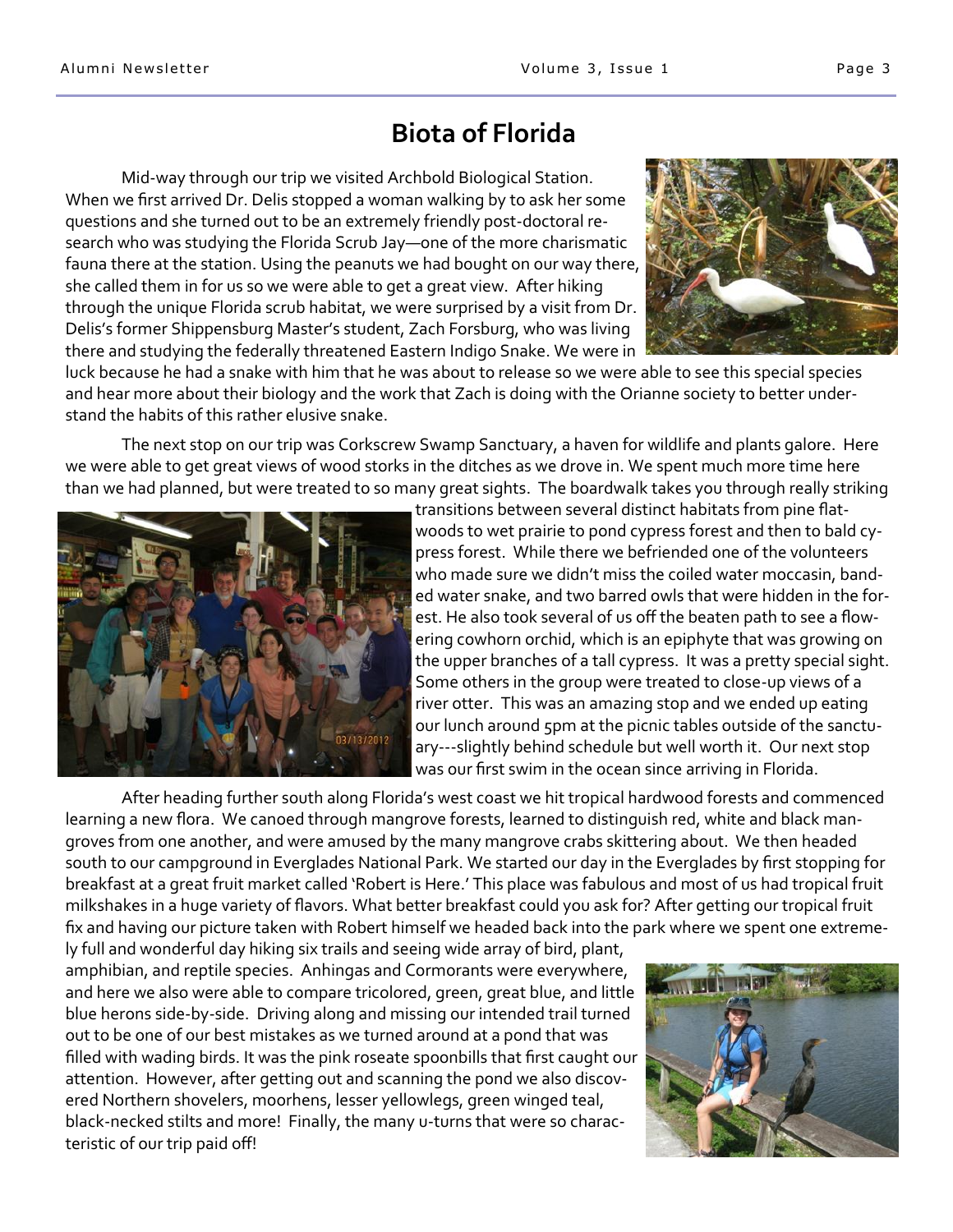## **Biota of Florida**

Mid-way through our trip we visited Archbold Biological Station. When we first arrived Dr. Delis stopped a woman walking by to ask her some questions and she turned out to be an extremely friendly post-doctoral research who was studying the Florida Scrub Jay—one of the more charismatic fauna there at the station. Using the peanuts we had bought on our way there, she called them in for us so we were able to get a great view. After hiking through the unique Florida scrub habitat, we were surprised by a visit from Dr. Delis's former Shippensburg Master's student, Zach Forsburg, who was living there and studying the federally threatened Eastern Indigo Snake. We were in



luck because he had a snake with him that he was about to release so we were able to see this special species and hear more about their biology and the work that Zach is doing with the Orianne society to better understand the habits of this rather elusive snake.

The next stop on our trip was Corkscrew Swamp Sanctuary, a haven for wildlife and plants galore. Here we were able to get great views of wood storks in the ditches as we drove in. We spent much more time here than we had planned, but were treated to so many great sights. The boardwalk takes you through really striking



transitions between several distinct habitats from pine flatwoods to wet prairie to pond cypress forest and then to bald cypress forest. While there we befriended one of the volunteers who made sure we didn't miss the coiled water moccasin, banded water snake, and two barred owls that were hidden in the forest. He also took several of us off the beaten path to see a flowering cowhorn orchid, which is an epiphyte that was growing on the upper branches of a tall cypress. It was a pretty special sight. Some others in the group were treated to close-up views of a river otter. This was an amazing stop and we ended up eating our lunch around 5pm at the picnic tables outside of the sanctuary---slightly behind schedule but well worth it. Our next stop was our first swim in the ocean since arriving in Florida.

After heading further south along Florida's west coast we hit tropical hardwood forests and commenced learning a new flora. We canoed through mangrove forests, learned to distinguish red, white and black mangroves from one another, and were amused by the many mangrove crabs skittering about. We then headed south to our campground in Everglades National Park. We started our day in the Everglades by first stopping for breakfast at a great fruit market called 'Robert is Here.' This place was fabulous and most of us had tropical fruit milkshakes in a huge variety of flavors. What better breakfast could you ask for? After getting our tropical fruit fix and having our picture taken with Robert himself we headed back into the park where we spent one extreme-

ly full and wonderful day hiking six trails and seeing wide array of bird, plant, amphibian, and reptile species. Anhingas and Cormorants were everywhere, and here we also were able to compare tricolored, green, great blue, and little blue herons side-by-side. Driving along and missing our intended trail turned out to be one of our best mistakes as we turned around at a pond that was filled with wading birds. It was the pink roseate spoonbills that first caught our attention. However, after getting out and scanning the pond we also discovered Northern shovelers, moorhens, lesser yellowlegs, green winged teal, black-necked stilts and more! Finally, the many u-turns that were so characteristic of our trip paid off!